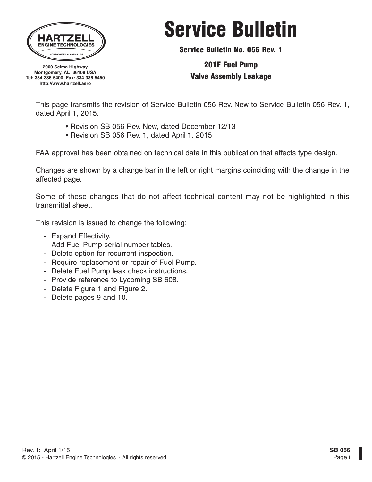

**2900 Selma Highway Montgomery, AL 36108 USA Tel: 334-386-5400 Fax: 334-386-5450 http://www.hartzell.aero**

# Service Bulletin

Service Bulletin No. 056 Rev. 1

#### 201F Fuel Pump Valve Assembly Leakage

This page transmits the revision of Service Bulletin 056 Rev. New to Service Bulletin 056 Rev. 1, dated April 1, 2015.

- Revision SB 056 Rev. New, dated December 12/13
- Revision SB 056 Rev. 1, dated April 1, 2015

FAA approval has been obtained on technical data in this publication that affects type design.

Changes are shown by a change bar in the left or right margins coinciding with the change in the affected page.

Some of these changes that do not affect technical content may not be highlighted in this transmittal sheet.

This revision is issued to change the following:

- Expand Effectivity.
- Add Fuel Pump serial number tables.
- Delete option for recurrent inspection.
- Require replacement or repair of Fuel Pump.
- Delete Fuel Pump leak check instructions.
- Provide reference to Lycoming SB 608.
- Delete Figure 1 and Figure 2.
- Delete pages 9 and 10.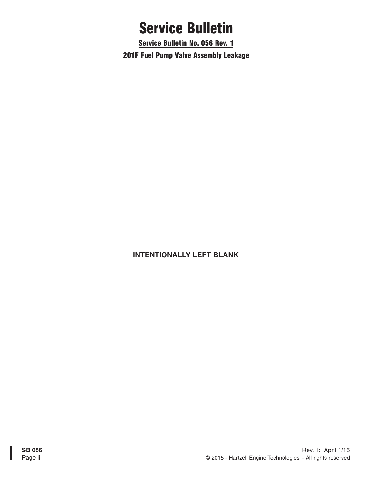Service Bulletin No. 056 Rev. 1

201F Fuel Pump Valve Assembly Leakage

#### **INTENTIONALLY LEFT BLANK**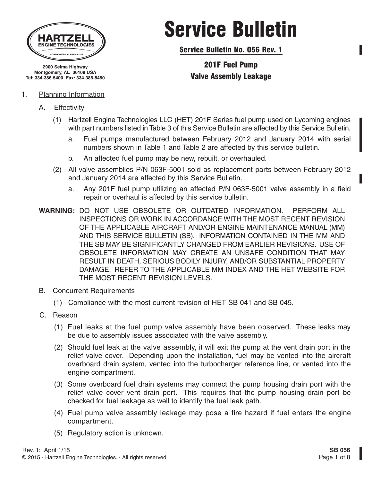

**2900 Selma Highway Montgomery, AL 36108 USA Tel: 334-386-5400 Fax: 334-386-5450**

#### 1. Planning Information

A. Effectivity

#### (1) Hartzell Engine Technologies LLC (HET) 201F Series fuel pump used on Lycoming engines with part numbers listed in Table 3 of this Service Bulletin are affected by this Service Bulletin.

- a. Fuel pumps manufactured between February 2012 and January 2014 with serial numbers shown in Table 1 and Table 2 are affected by this service bulletin.
- b. An affected fuel pump may be new, rebuilt, or overhauled.
- (2) All valve assemblies P/N 063F-5001 sold as replacement parts between February 2012 and January 2014 are affected by this Service Bulletin.
	- a. Any 201F fuel pump utilizing an affected P/N 063F-5001 valve assembly in a field repair or overhaul is affected by this service bulletin.
- **WARNING:** DO NOT USE OBSOLETE OR OUTDATED INFORMATION. PERFORM ALL INSPECTIONS OR WORK IN ACCORDANCE WITH THE MOST RECENT REVISION OF THE APPLICABLE AIRCRAFT AND/OR ENGINE MAINTENANCE MANUAL (MM) AND THIS SERVICE BULLETIN (SB). INFORMATION CONTAINED IN THE MM AND THE SB MAY BE SIGNIFICANTLY CHANGED FROM EARLIER REVISIONS. USE OF OBSOLETE INFORMATION MAY CREATE AN UNSAFE CONDITION THAT MAY RESULT IN DEATH, SERIOUS BODILY INJURY, AND/OR SUBSTANTIAL PROPERTY DAMAGE. REFER TO THE APPLICABLE MM INDEX AND THE HET WEBSITE FOR THE MOST RECENT REVISION LEVELS.
- B. Concurrent Requirements
	- (1) Compliance with the most current revision of HET SB 041 and SB 045.
- C. Reason
	- (1) Fuel leaks at the fuel pump valve assembly have been observed. These leaks may be due to assembly issues associated with the valve assembly.
	- (2) Should fuel leak at the valve assembly, it will exit the pump at the vent drain port in the relief valve cover. Depending upon the installation, fuel may be vented into the aircraft overboard drain system, vented into the turbocharger reference line, or vented into the engine compartment.
	- (3) Some overboard fuel drain systems may connect the pump housing drain port with the relief valve cover vent drain port. This requires that the pump housing drain port be checked for fuel leakage as well to identify the fuel leak path.
	- (4) Fuel pump valve assembly leakage may pose a fire hazard if fuel enters the engine compartment.
	- (5) Regulatory action is unknown.

# Service Bulletin

Service Bulletin No. 056 Rev. 1

#### 201F Fuel Pump Valve Assembly Leakage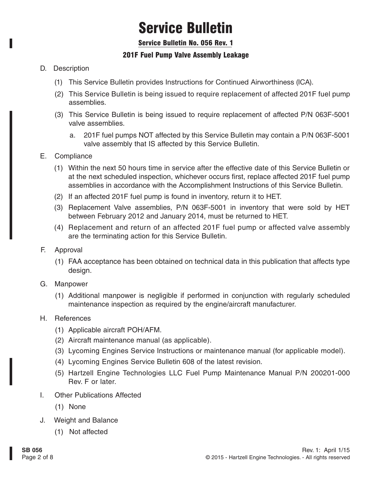Service Bulletin No. 056 Rev. 1

#### 201F Fuel Pump Valve Assembly Leakage

#### D. Description

- (1) This Service Bulletin provides Instructions for Continued Airworthiness (ICA).
- (2) This Service Bulletin is being issued to require replacement of affected 201F fuel pump assemblies.
- (3) This Service Bulletin is being issued to require replacement of affected P/N 063F-5001 valve assemblies.
	- a. 201F fuel pumps NOT affected by this Service Bulletin may contain a P/N 063F-5001 valve assembly that IS affected by this Service Bulletin.
- E. Compliance
	- (1) Within the next 50 hours time in service after the effective date of this Service Bulletin or at the next scheduled inspection, whichever occurs first, replace affected 201F fuel pump assemblies in accordance with the Accomplishment Instructions of this Service Bulletin.
	- (2) If an affected 201F fuel pump is found in inventory, return it to HET.
	- (3) Replacement Valve assemblies, P/N 063F-5001 in inventory that were sold by HET between February 2012 and January 2014, must be returned to HET.
	- (4) Replacement and return of an affected 201F fuel pump or affected valve assembly are the terminating action for this Service Bulletin.
- F. Approval
	- (1) FAA acceptance has been obtained on technical data in this publication that affects type design.
- G. Manpower
	- (1) Additional manpower is negligible if performed in conjunction with regularly scheduled maintenance inspection as required by the engine/aircraft manufacturer.
- H. References
	- (1) Applicable aircraft POH/AFM.
	- (2) Aircraft maintenance manual (as applicable).
	- (3) Lycoming Engines Service Instructions or maintenance manual (for applicable model).
	- (4) Lycoming Engines Service Bulletin 608 of the latest revision.
	- (5) Hartzell Engine Technologies LLC Fuel Pump Maintenance Manual P/N 200201-000 Rev. F or later.
- I. Other Publications Affected
	- (1) None
- J. Weight and Balance
	- (1) Not affected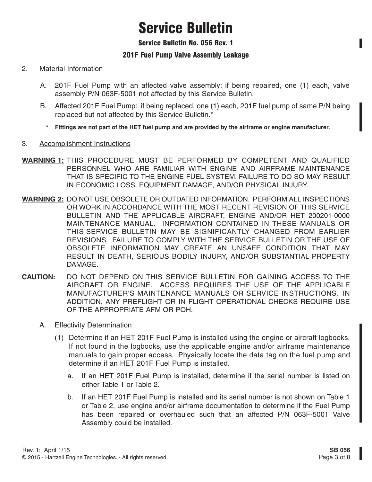Service Bulletin No. 056 Rev. 1

#### 201F Fuel Pump Valve Assembly Leakage

#### 2. Material Information

- A. 201F Fuel Pump with an affected valve assembly: if being repaired, one (1) each, valve assembly P/N 063F-5001 not affected by this Service Bulletin.
- B. Affected 201F Fuel Pump: if being replaced, one (1) each, 201F fuel pump of same P/N being replaced but not affected by this Service Bulletin.\*
	- **\* Fittings are not part of the HET fuel pump and are provided by the airframe or engine manufacturer.**
- 3. Accomplishment Instructions
- **WARNING 1:** THIS PROCEDURE MUST BE PERFORMED BY COMPETENT AND QUALIFIED PERSONNEL WHO ARE FAMILIAR WITH ENGINE AND AIRFRAME MAINTENANCE THAT IS SPECIFIC TO THE ENGINE FUEL SYSTEM. FAILURE TO DO SO MAY RESULT IN ECONOMIC LOSS, EQUIPMENT DAMAGE, AND/OR PHYSICAL INJURY.
- **WARNING 2:** DO NOT USE OBSOLETE OR OUTDATED INFORMATION. PERFORM ALL INSPECTIONS OR WORK IN ACCORDANCE WITH THE MOST RECENT REVISION OF THIS SERVICE BULLETIN AND THE APPLICABLE AIRCRAFT, ENGINE AND/OR HET 200201-0000 MAINTENANCE MANUAL. INFORMATION CONTAINED IN THESE MANUALS OR THIS SERVICE BULLETIN MAY BE SIGNIFICANTLY CHANGED FROM EARLIER REVISIONS. FAILURE TO COMPLY WITH THE SERVICE BULLETIN OR THE USE OF OBSOLETE INFORMATION MAY CREATE AN UNSAFE CONDITION THAT MAY RESULT IN DEATH, SERIOUS BODILY INJURY, AND/OR SUBSTANTIAL PROPERTY DAMAGE.
- **CAUTION:** DO NOT DEPEND ON THIS SERVICE BULLETIN FOR GAINING ACCESS TO THE AIRCRAFT OR ENGINE. ACCESS REQUIRES THE USE OF THE APPLICABLE MANUFACTURER'S MAINTENANCE MANUALS OR SERVICE INSTRUCTIONS. IN ADDITION, ANY PREFLIGHT OR IN FLIGHT OPERATIONAL CHECKS REQUIRE USE OF THE APPROPRIATE AFM OR POH.
	- A. Effectivity Determination
		- (1) Determine if an HET 201F Fuel Pump is installed using the engine or aircraft logbooks. If not found in the logbooks, use the applicable engine and/or airframe maintenance manuals to gain proper access. Physically locate the data tag on the fuel pump and determine if an HET 201F Fuel Pump is installed.
			- a. If an HET 201F Fuel Pump is installed, determine if the serial number is listed on either Table 1 or Table 2.
			- b. If an HET 201F Fuel Pump is installed and its serial number is not shown on Table 1 or Table 2, use engine and/or airframe documentation to determine if the Fuel Pump has been repaired or overhauled such that an affected P/N 063F-5001 Valve Assembly could be installed.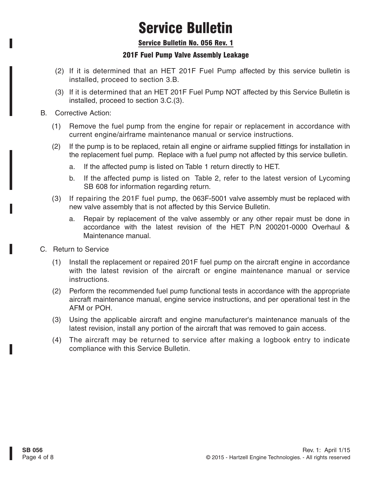Service Bulletin No. 056 Rev. 1

#### 201F Fuel Pump Valve Assembly Leakage

- (2) If it is determined that an HET 201F Fuel Pump affected by this service bulletin is installed, proceed to section 3.B.
- (3) If it is determined that an HET 201F Fuel Pump NOT affected by this Service Bulletin is installed, proceed to section 3.C.(3).
- B. Corrective Action:
	- (1) Remove the fuel pump from the engine for repair or replacement in accordance with current engine/airframe maintenance manual or service instructions.
	- (2) If the pump is to be replaced, retain all engine or airframe supplied fittings for installation in the replacement fuel pump. Replace with a fuel pump not affected by this service bulletin.
		- a. If the affected pump is listed on Table 1 return directly to HET.
		- b. If the affected pump is listed on Table 2, refer to the latest version of Lycoming SB 608 for information regarding return.
	- (3) If repairing the 201F fuel pump, the 063F-5001 valve assembly must be replaced with new valve assembly that is not affected by this Service Bulletin.
		- a. Repair by replacement of the valve assembly or any other repair must be done in accordance with the latest revision of the HET P/N 200201-0000 Overhaul & Maintenance manual.
- C. Return to Service
	- (1) Install the replacement or repaired 201F fuel pump on the aircraft engine in accordance with the latest revision of the aircraft or engine maintenance manual or service instructions.
	- (2) Perform the recommended fuel pump functional tests in accordance with the appropriate aircraft maintenance manual, engine service instructions, and per operational test in the AFM or POH.
	- (3) Using the applicable aircraft and engine manufacturer's maintenance manuals of the latest revision, install any portion of the aircraft that was removed to gain access.
	- (4) The aircraft may be returned to service after making a logbook entry to indicate compliance with this Service Bulletin.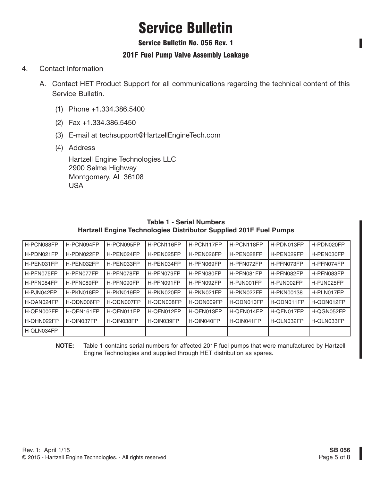Service Bulletin No. 056 Rev. 1

#### 201F Fuel Pump Valve Assembly Leakage

#### 4. Contact Information

- A. Contact HET Product Support for all communications regarding the technical content of this Service Bulletin.
	- (1) Phone +1.334.386.5400
	- (2) Fax +1.334.386.5450
	- (3) E-mail at techsupport@HartzellEngineTech.com
	- (4) Address

Hartzell Engine Technologies LLC 2900 Selma Highway Montgomery, AL 36108 USA

| H-PCN088FP | H-PCN094FP | H-PCN095FP | H-PCN116FP | H-PCN117FP | H-PCN118FP | H-PDN013FP | H-PDN020FP |
|------------|------------|------------|------------|------------|------------|------------|------------|
| H-PDN021FP | H-PDN022FP | H-PEN024FP | H-PEN025FP | H-PEN026FP | H-PEN028FP | H-PEN029FP | H-PEN030FP |
| H-PEN031FP | H-PEN032FP | H-PEN033FP | H-PEN034FP | H-PFN069FP | H-PFN072FP | H-PFN073FP | H-PFN074FP |
| H-PFN075FP | H-PFN077FP | H-PFN078FP | H-PFN079FP | H-PFN080FP | H-PFN081FP | H-PFN082FP | H-PFN083FP |
| H-PFN084FP | H-PFN089FP | H-PFN090FP | H-PFN091FP | H-PFN092FP | H-PJN001FP | H-PJN002FP | H-PJN025FP |
| H-PJN042FP | H-PKN018FP | H-PKN019FP | H-PKN020FP | H-PKN021FP | H-PKN022FP | H-PKN00138 | H-PLN017FP |
| H-QAN024FP | H-QDN006FP | H-QDN007FP | H-QDN008FP | H-ODN009FP | H-QDN010FP | H-QDN011FP | H-QDN012FP |
| H-QEN002FP | H-QEN161FP | H-OFN011FP | H-OFN012FP | H-OFN013FP | H-QFN014FP | H-OFN017FP | H-QGN052FP |
| H-OHN022FP | H-QIN037FP | H-QIN038FP | H-QIN039FP | H-QIN040FP | H-QIN041FP | H-QLN032FP | H-OLN033FP |
| H-QLN034FP |            |            |            |            |            |            |            |

#### **Table 1 - Serial Numbers Hartzell Engine Technologies Distributor Supplied 201F Fuel Pumps**

**NOTE:** Table 1 contains serial numbers for affected 201F fuel pumps that were manufactured by Hartzell Engine Technologies and supplied through HET distribution as spares.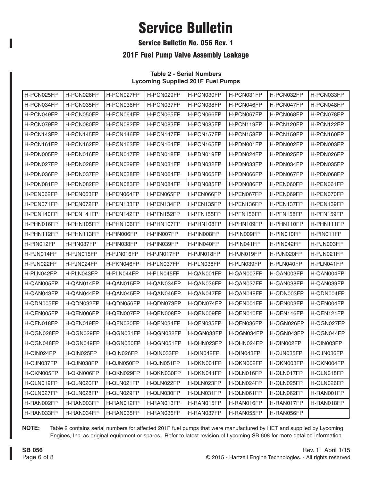Service Bulletin No. 056 Rev. 1

#### 201F Fuel Pump Valve Assembly Leakage

#### **Table 2 - Serial Numbers Lycoming Supplied 201F Fuel Pumps**

| H-PCN025FP | H-PCN026FP | H-PCN027FP | H-PCN029FP | H-PCN030FP | H-PCN031FP | H-PCN032FP | H-PCN033FP |
|------------|------------|------------|------------|------------|------------|------------|------------|
| H-PCN034FP | H-PCN035FP | H-PCN036FP | H-PCN037FP | H-PCN038FP | H-PCN046FP | H-PCN047FP | H-PCN048FP |
| H-PCN049FP | H-PCN050FP | H-PCN064FP | H-PCN065FP | H-PCN066FP | H-PCN067FP | H-PCN068FP | H-PCN078FP |
| H-PCN079FP | H-PCN080FP | H-PCN082FP | H-PCN083FP | H-PCN085FP | H-PCN119FP | H-PCN120FP | H-PCN122FP |
| H-PCN143FP | H-PCN145FP | H-PCN146FP | H-PCN147FP | H-PCN157FP | H-PCN158FP | H-PCN159FP | H-PCN160FP |
| H-PCN161FP | H-PCN162FP | H-PCN163FP | H-PCN164FP | H-PCN165FP | H-PDN001FP | H-PDN002FP | H-PDN003FP |
| H-PDN005FP | H-PDN016FP | H-PDN017FP | H-PDN018FP | H-PDN019FP | H-PDN024FP | H-PDN025FP | H-PDN026FP |
| H-PDN027FP | H-PDN028FP | H-PDN029FP | H-PDN031FP | H-PDN032FP | H-PDN033FP | H-PDN034FP | H-PDN035FP |
| H-PDN036FP | H-PDN037FP | H-PDN038FP | H-PDN064FP | H-PDN065FP | H-PDN066FP | H-PDN067FP | H-PDN068FP |
| H-PDN081FP | H-PDN082FP | H-PDN083FP | H-PDN084FP | H-PDN085FP | H-PDN086FP | H-PEN060FP | H-PEN061FP |
| H-PEN062FP | H-PEN063FP | H-PEN064FP | H-PEN065FP | H-PEN066FP | H-PEN067FP | H-PEN069FP | H-PEN070FP |
| H-PEN071FP | H-PEN072FP | H-PEN133FP | H-PEN134FP | H-PEN135FP | H-PEN136FP | H-PEN137FP | H-PEN139FP |
| H-PEN140FP | H-PEN141FP | H-PEN142FP | H-PFN152FP | H-PFN155FP | H-PFN156FP | H-PFN158FP | H-PFN159FP |
| H-PHN016FP | H-PHN105FP | H-PHN106FP | H-PHN107FP | H-PHN108FP | H-PHN109FP | H-PHN110FP | H-PHN111FP |
| H-PHN112FP | H-PHN113FP | H-PIN006FP | H-PIN007FP | H-PIN008FP | H-PIN009FP | H-PIN010FP | H-PIN011FP |
| H-PIN012FP | H-PIN037FP | H-PIN038FP | H-PIN039FP | H-PIN040FP | H-PIN041FP | H-PIN042FP | H-PJN003FP |
| H-PJN014FP | H-PJN015FP | H-PJN016FP | H-PJN017FP | H-PJN018FP | H-PJN019FP | H-PJN020FP | H-PJN021FP |
| H-PJN022FP | H-PJN024FP | H-PKN046FP | H-PLN037FP | H-PLN038FP | H-PLN039FP | H-PLN040FP | H-PLN041FP |
| H-PLN042FP | H-PLN043FP | H-PLN044FP | H-PLN045FP | H-QAN001FP | H-QAN002FP | H-QAN003FP | H-QAN004FP |
| H-QAN005FP | H-QAN014FP | H-QAN015FP | H-QAN034FP | H-QAN036FP | H-QAN037FP | H-QAN038FP | H-QAN039FP |
| H-QAN043FP | H-QAN044FP | H-QAN045FP | H-QAN046FP | H-QAN047FP | H-QAN048FP | H-QDN003FP | H-QDN004FP |
| H-QDN005FP | H-QDN032FP | H-QDN056FP | H-QDN073FP | H-QDN074FP | H-QEN001FP | H-QEN003FP | H-QEN004FP |
| H-QEN005FP | H-QEN006FP | H-QEN007FP | H-QEN008FP | H-QEN009FP | H-QEN010FP | H-QEN116FP | H-QEN121FP |
| H-QFN018FP | H-QFN019FP | H-QFN020FP | H-QFN034FP | H-QFN035FP | H-QFN036FP | H-QGN026FP | H-QGN027FP |
| H-QGN028FP | H-QGN029FP | H-QGN031FP | H-QGN032FP | H-QGN033FP | H-QGN034FP | H-QGN043FP | H-QGN044FP |
| H-QGN048FP | H-QGN049FP | H-QGN050FP | H-QGN051FP | H-QHN023FP | H-QHN024FP | H-QIN002FP | H-QIN003FP |
| H-QIN024FP | H-QIN025FP | H-QIN026FP | H-QIN033FP | H-QIN042FP | H-QIN043FP | H-QJN035FP | H-QJN036FP |
| H-QJN037FP | H-QJN038FP | H-QJN050FP | H-QJN051FP | H-QKN001FP | H-QKN002FP | H-QKN003FP | H-QKN004FP |
| H-QKN005FP | H-QKN006FP | H-QKN029FP | H-QKN030FP | H-QKN041FP | H-QLN016FP | H-QLN017FP | H-QLN018FP |
| H-QLN019FP | H-QLN020FP | H-QLN021FP | H-QLN022FP | H-QLN023FP | H-QLN024FP | H-QLN025FP | H-QLN026FP |
| H-QLN027FP | H-QLN028FP | H-QLN029FP | H-QLN030FP | H-QLN031FP | H-QLN061FP | H-QLN062FP | H-RAN001FP |
| H-RAN002FP | H-RAN003FP | H-RAN012FP | H-RAN013FP | H-RAN015FP | H-RAN016FP | H-RAN017FP | H-RAN018FP |
| H-RAN033FP | H-RAN034FP | H-RAN035FP | H-RAN036FP | H-RAN037FP | H-RAN055FP | H-RAN056FP |            |

**NOTE:** Table 2 contains serial numbers for affected 201F fuel pumps that were manufactured by HET and supplied by Lycoming Engines, Inc. as original equipment or spares. Refer to latest revision of Lycoming SB 608 for more detailed information.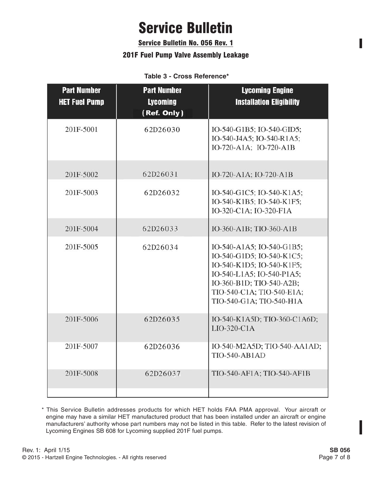Service Bulletin No. 056 Rev. 1

#### 201F Fuel Pump Valve Assembly Leakage

#### **Table 3 - Cross Reference\***

| <b>Part Number</b><br><b>HET Fuel Pump</b> | <b>Part Number</b><br><b>Lycoming</b><br>(Ref. Only) | <b>Lycoming Engine</b><br><b>Installation Eligibility</b>                                                                                                                                             |
|--------------------------------------------|------------------------------------------------------|-------------------------------------------------------------------------------------------------------------------------------------------------------------------------------------------------------|
| 201F-5001                                  | 62D26030                                             | IO-540-G1B5; IO-540-GID5;<br>IO-540-J4A5; IO-540-R1A5;<br>IO-720-A1A; IO-720-A1B                                                                                                                      |
| 201F-5002                                  | 62D26031                                             | IO-720-A1A; IO-720-A1B                                                                                                                                                                                |
| 201F-5003                                  | 62D26032                                             | IO-540-G1C5; IO-540-K1A5;<br>IO-540-K1B5; IO-540-K1F5;<br>IO-320-C1A; IO-320-F1A                                                                                                                      |
| 201F-5004                                  | 62D26033                                             | IO-360-A1B; TIO-360-A1B                                                                                                                                                                               |
| 201F-5005                                  | 62D26034                                             | IO-540-A1A5; IO-540-G1B5;<br>IO-540-G1D5; IO-540-K1C5;<br>IO-540-K1D5; IO-540-K1F5;<br>IO-540-L1A5; IO-540-P1A5;<br>IO-360-B1D; TIO-540-A2B;<br>TIO-540-C1A; TIO-540-E1A;<br>TIO-540-G1A; TIO-540-H1A |
| 201F-5006                                  | 62D26035                                             | IO-540-K1A5D; TIO-360-C1A6D;<br>LIO-320-C1A                                                                                                                                                           |
| 201F-5007                                  | 62D26036                                             | IO-540-M2A5D; TIO-540-AA1AD;<br><b>TIO-540-AB1AD</b>                                                                                                                                                  |
| 201F-5008                                  | 62D26037                                             | TIO-540-AF1A; TIO-540-AF1B                                                                                                                                                                            |

\* This Service Bulletin addresses products for which HET holds FAA PMA approval. Your aircraft or engine may have a similar HET manufactured product that has been installed under an aircraft or engine manufacturers' authority whose part numbers may not be listed in this table. Refer to the latest revision of Lycoming Engines SB 608 for Lycoming supplied 201F fuel pumps.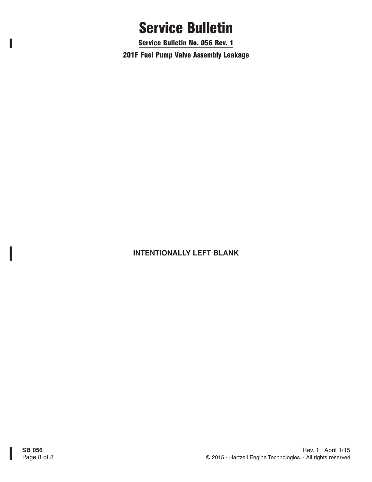Service Bulletin No. 056 Rev. 1

201F Fuel Pump Valve Assembly Leakage

#### **INTENTIONALLY LEFT BLANK**

ı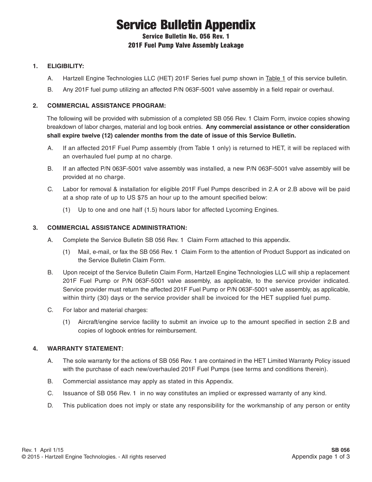### Service Bulletin Appendix

#### Service Bulletin No. 056 Rev. 1 201F Fuel Pump Valve Assembly Leakage

#### **1. ELIGIBILITY:**

- A. Hartzell Engine Technologies LLC (HET) 201F Series fuel pump shown in Table 1 of this service bulletin.
- B. Any 201F fuel pump utilizing an affected P/N 063F-5001 valve assembly in a field repair or overhaul.

#### **2. COMMERCIAL ASSISTANCE PROGRAM:**

The following will be provided with submission of a completed SB 056 Rev. 1 Claim Form, invoice copies showing breakdown of labor charges, material and log book entries. **Any commercial assistance or other consideration shall expire twelve (12) calender months from the date of issue of this Service Bulletin.**

- A. If an affected 201F Fuel Pump assembly (from Table 1 only) is returned to HET, it will be replaced with an overhauled fuel pump at no charge.
- B. If an affected P/N 063F-5001 valve assembly was installed, a new P/N 063F-5001 valve assembly will be provided at no charge.
- C. Labor for removal & installation for eligible 201F Fuel Pumps described in 2.A or 2.B above will be paid at a shop rate of up to US \$75 an hour up to the amount specified below:
	- (1) Up to one and one half (1.5) hours labor for affected Lycoming Engines.

#### **3. COMMERCIAL ASSISTANCE ADMINISTRATION:**

- A. Complete the Service Bulletin SB 056 Rev. 1 Claim Form attached to this appendix.
	- (1) Mail, e-mail, or fax the SB 056 Rev. 1 Claim Form to the attention of Product Support as indicated on the Service Bulletin Claim Form.
- B. Upon receipt of the Service Bulletin Claim Form, Hartzell Engine Technologies LLC will ship a replacement 201F Fuel Pump or P/N 063F-5001 valve assembly, as applicable, to the service provider indicated. Service provider must return the affected 201F Fuel Pump or P/N 063F-5001 valve assembly, as applicable, within thirty (30) days or the service provider shall be invoiced for the HET supplied fuel pump.
- C. For labor and material charges:
	- (1) Aircraft/engine service facility to submit an invoice up to the amount specified in section 2.B and copies of logbook entries for reimbursement.

#### **4. WARRANTY STATEMENT:**

- A. The sole warranty for the actions of SB 056 Rev. 1 are contained in the HET Limited Warranty Policy issued with the purchase of each new/overhauled 201F Fuel Pumps (see terms and conditions therein).
- B. Commercial assistance may apply as stated in this Appendix.
- C. Issuance of SB 056 Rev. 1 in no way constitutes an implied or expressed warranty of any kind.
- D. This publication does not imply or state any responsibility for the workmanship of any person or entity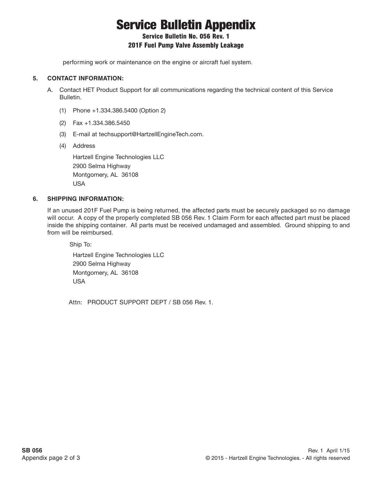### Service Bulletin Appendix

#### Service Bulletin No. 056 Rev. 1 201F Fuel Pump Valve Assembly Leakage

performing work or maintenance on the engine or aircraft fuel system.

#### **5. CONTACT INFORMATION:**

- A. Contact HET Product Support for all communications regarding the technical content of this Service Bulletin.
	- (1) Phone +1.334.386.5400 (Option 2)
	- (2) Fax +1.334.386.5450
	- (3) E-mail at techsupport@HartzellEngineTech.com.
	- (4) Address

Hartzell Engine Technologies LLC 2900 Selma Highway Montgomery, AL 36108 USA

#### **6. SHIPPING INFORMATION:**

If an unused 201F Fuel Pump is being returned, the affected parts must be securely packaged so no damage will occur. A copy of the properly completed SB 056 Rev. 1 Claim Form for each affected part must be placed inside the shipping container. All parts must be received undamaged and assembled. Ground shipping to and from will be reimbursed.

Ship To:

Hartzell Engine Technologies LLC 2900 Selma Highway Montgomery, AL 36108 USA

Attn: PRODUCT SUPPORT DEPT / SB 056 Rev. 1.